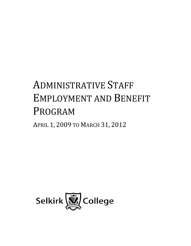# ADMINISTRATIVE STAFF EMPLOYMENT AND BENEFIT PROGRAM

APRIL 1, 2009 TO MARCH 31, 2012

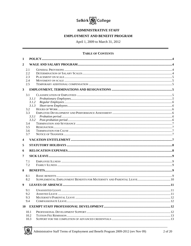

# **ADMINISTRATIVE STAFF**

#### **EMPLOYMENT AND BENEFIT PROGRAM**

April 1, 2009 to March 31, 2012

#### **TABLE OF CONTENTS**

| 1                |                                                                                            |  |
|------------------|--------------------------------------------------------------------------------------------|--|
| $\mathbf{2}$     |                                                                                            |  |
|                  | 2.1<br>2.2<br>2.3<br>2.4                                                                   |  |
|                  | 2.5                                                                                        |  |
| $\mathbf{3}$     |                                                                                            |  |
| 4                | 3.1<br>3.1.1<br>3.1.2<br>3.1.3<br>3.2<br>3.3<br>3.3.1<br>3.3.2<br>3.4<br>3.5<br>3.6<br>3.7 |  |
| 5                |                                                                                            |  |
| 6                |                                                                                            |  |
| 7                |                                                                                            |  |
|                  | 7.1<br>7.2                                                                                 |  |
| 8                |                                                                                            |  |
|                  | 8.1<br>8.2                                                                                 |  |
| $\boldsymbol{9}$ |                                                                                            |  |
|                  | 9.1<br>9.2<br>9.3<br>9.4                                                                   |  |
| 10               |                                                                                            |  |
|                  | 10.1<br>10.2<br>10.3                                                                       |  |

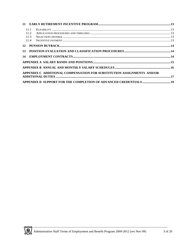|    | 11.1<br>11.2<br>11.3<br>11.4 |                                                                        |  |
|----|------------------------------|------------------------------------------------------------------------|--|
| 12 |                              |                                                                        |  |
| 13 |                              |                                                                        |  |
| 14 |                              |                                                                        |  |
|    |                              |                                                                        |  |
|    |                              |                                                                        |  |
|    |                              | APPENDIX C ADDITIONAL COMPENSATION FOR SUBSTITUTION ASSIGNMENTS AND/OR |  |
|    |                              |                                                                        |  |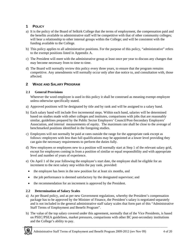# <span id="page-3-0"></span>**1 POLICY**

- a) It is the policy of the Board of Selkirk College that the terms of employment, the compensation paid and the benefits available to administrative staff will be competitive with that of other community colleges; will bear a relationship to other internal groups within the College; and will be consistent with the funding available to the College.
- b) This policy applies to all administrative positions. For the purpose of this policy, "administrative" refers to the exempt positions listed in Appendix A.
- c) The President will meet with the administrative group at least once per year to discuss any changes that may become necessary from to time to time.
- d) The Board will normally review this policy every three years, to ensure that the program remains competitive. Any amendments will normally occur only after due notice to, and consultation with, those affected.

# **2 WAGE AND SALARY PROGRAM**

## **2.1 General Provisions**

Wherever the word employee is used in this policy it shall be construed as meaning exempt employee unless otherwise specifically stated.

- a) Approved positions will be designated by title and by rank and will be assigned to a salary band.
- b) Each salary band will include five incremental steps. Within each band, salaries will be determined based on studies made with other colleges and institutes, comparisons with jobs that are reasonably similar, guidelines prepared by the Public Sector Employers' Council/Post-Secondary Employers' Association, and internal measurements of equity. The maximum rate shall be close to the average of benchmarked positions identified in the foregoing studies.
- c) Employees will not normally be paid at rates outside the range for the appropriate rank except as follows: employees with less than full qualifications may be appointed at a lower level providing they can gain the necessary requirements to perform the duties fully.
- d) New employees or employees new to a position will normally start at Step 1 of the relevant salary grid, except for employees coming in from a position of similar or equal responsibility and with appropriate level and number of years of experience.
- e) On April 1 of the year following the employee's start date, the employee shall be eligible for an increment to the next salary step within the pay rank, provided:
	- the employee has been in the new position for at least six months, and
	- the job performance is deemed satisfactory by the designated supervisor; and
	- the recommendation for an increment is approved by the President.

## **2.2 Determination of Salary Scales**

- a) As per Board policy, and as per new Government regulations, whereby the President's compensation package has to be approved by the Minister of Finance, the President's salary is negotiated separately and is not included in the general administrative staff salary scales that form part of this "Administrative Staff Terms of Employment and Benefit Program".
- b) The value of the top salary covered under this agreement, normally that of the Vice Presidents, is based on PSEC/PSEA guidelines, market pressures, comparisons with other BC post-secondary institutions and the College's ability to pay.

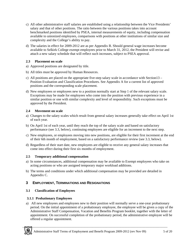- <span id="page-4-0"></span>c) All other administrative staff salaries are established using a relationship between the Vice Presidents' salary and that of other positions. The ratio between the various positions takes into account benchmarked positions identified by PSEA, internal measurements of equity, including compensation available to unionized employees, comparisons with positions at other institutions of similar size and complexity and the College's ability to pay.
- d) The salaries in effect for 2009-2012 are as per Appendix B. Should general wage increases become available to Selkirk College exempt employees prior to March 31, 2012, the President will revise and attach a new salary schedule that will reflect such increases, subject to PSEA approval.

## **2.3 Placement on scale**

- a) Approved positions are designated by title.
- b) All titles must be approved by Human Resources.
- c) All positions are placed on the appropriate five-step salary scale in accordance with Section13 Position Evaluation and Classification Procedures. See Appendix A for a current list of approved positions and the corresponding scale placement.
- d) New employees or employees new to a position normally start at Step 1 of the relevant salary scale. Exceptions may be made for employees who come into the position with previous experience in a similar position or one with similar complexity and level of responsibility. Such exceptions must be approved by the President.

## **2.4 Movement on scale**

- a) Changes to the salary scales which result from general salary increases generally take effect on April 1st of each year.
- b) On April 1st of each year, until they reach the top of the salary scale and based on satisfactory performance (see 3.3, below), continuing employees are eligible for an increment to the next step.
- c) New employees, or employees moving into new positions, are eligible for their first increment at the end of their 6th month of employment, based on a satisfactory performance review (see 3.3, below).
- d) Regardless of their start date, new employees are eligible to receive any general salary increases that come into effect during their first six months of employment.

## **2.5 Temporary additional compensation**

- a) In some circumstances, additional compensation may be available to Exempt employees who take on acting positions or who are assigned temporary major workload additions.
- b) The terms and conditions under which additional compensation may be provided are detailed in Appendix C.

# **3 EMPLOYMENT, TERMINATIONS AND RESIGNATIONS**

## **3.1 Classification of Employees**

## **3.1.1 Probationary Employees**

a) All new employees and employees new to their position will normally serve a one-year probationary period. On the initial appointment of a probationary employee, the employee will be given a copy of the Administrative Staff Compensation, Vacation and Benefits Program booklet, together with the letter of appointment. On successful completion of the probationary period, the administrative employee will be offered a regular appointment.

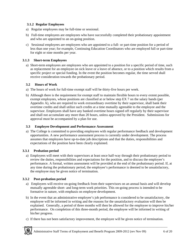### <span id="page-5-0"></span>**3.1.2 Regular Employees**

- a) Regular employees may be full-time or sessional.
- b) Full-time employees are employees who have successfully completed their probationary appointment and who are appointed to an on-going position.
- c) Sessional employees are employees who are appointed to a full- or part-time position for a period of less than one year; for example, Continuing Education Coordinators who are employed full or part-time for eight or nine months per year.

#### **3.1.3 Short-term Employees**

a) Short-term employees are employees who are appointed to a position for a specific period of time, such as replacement for an employee on sick leave or a leave of absence, or to a position which results from a specific project or special funding. In the event the position becomes regular, the time served shall receive consideration towards the probationary period.

### **3.2 Hours of Work**

- a) The hours of work for full-time exempt staff will be thirty-five hours per week.
- b) Although there is the requirement for exempt staff to maintain flexible hours to every extent possible, exempt employees, whose positions are classified at or below step EX 7 on the salary bands (per Appendix A), who are required to work extraordinary overtime by their supervisor, shall bank their overtime credits and shall utilize such credits at a time mutually agreeable to the employee and the supervisor. Employees shall have any banked overtime hours signed off regularly by their supervisor and shall not accumulate any more than 20 hours, unless approved by the President. Submissions for approval must be accompanied by a plan for use.

#### **3.3 Employee Development and Performance Assessment**

a) The College is committed to providing employees with regular performance feedback and development opportunities. A new performance assessment process is currently under development. The process assumes that employees have up-to-date job descriptions and that the duties, responsibilities and expectations of the position have been clearly explained.

#### **3.3.1 Probation period**

a) Employees will meet with their supervisors at least once half-way through their probationary period to review the duties, responsibilities and expectations for the position, and to discuss the employee's performance. A formal, written assessment will be provided at the end of the probationary period. If, at any time during the probationary period, the employee's performance is deemed to be unsatisfactory, the employee may be given notice of termination.

#### **3.3.2 Post-probation period**

- a) Employees will receive on-going feedback from their supervisors on an annual basis and will develop mutually agreeable short- and long-term work priorities. This on-going process is intended to be formative in nature, with emphasis on employee development.
- b) In the event that an administrative employee's job performance is considered to be unsatisfactory, the employee will be informed in writing and the reasons for the unsatisfactory evaluation will then be explained. Generally, a period of three months will then be allowed for the employee to improve his/her performance. On completion of this three-month period, the employee will be informed in writing of his/her progress.
- c) If there has not been satisfactory improvement, the employee will be given notice of termination.

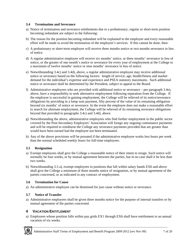#### <span id="page-6-0"></span>**3.4 Termination and Severance**

- a) Notice of termination and severance entitlements due to a probationary, regular or short-term position becoming redundant are subject to the following:
- b) The reason for the position becoming redundant will be explained to the employee and every reasonable effort will be made to avoid the termination of the employee's services. If this cannot be done, then:
- c) A probationary or short-term employee will receive three months notice or two months severance in lieu of notice.
- d) A regular administrative employee will receive six months' notice, or three months' severance in lieu of notice, or the greater of one month's notice or severance for every year of employment at the College to a maximum of twelve months' notice or nine months' severance in lieu of notice.
- e) Notwithstanding 3.4c) and 3.4d), above, a regular administrative employee may receive additional notice or severance based on the following factors: length of service, age, health/fitness and market demand for the individual's expertise and experience and PSEA statutory maximums. Such additional notice or severance shall be determined by the President, subject to appeal to the Board.
- f) Administrative employees who are provided with additional notice or severance per paragraph 3.4e), above, have a responsibility to seek alternative employment following separation from the College. If the employee is successful in gaining employment, the College will be relieved of its notice/severance obligations by providing in a lump sum payment, fifty percent of the value of its remaining obligation beyond six months' of notice or severance. In the event the employee does not make a reasonable effort to search for alternate employment, the College will be relieved of its remaining severance obligations beyond that provided in paragraphs 3.4c) and 3.4d), above.
- g) Notwithstanding the above, administrative employees who find further employment in the public sector covered by the Post-Secondary Employers' Association will forego any ongoing continuance payments and will be required to reimburse the College any severance payments provided that are greater than would have been earned had the employee not been terminated.
- h) Any of the above provisions will be prorated if the administrative employee works less hours per week than the normal scheduled weekly hours for full-time employees.

## **3.5 Resignation**

- a) Exempt employees shall give the College a reasonable notice of their intent to resign. Such notice will normally be four weeks, or by mutual agreement between the parties, but in no case shall it be less than two weeks.
- b) Notwithstanding 3.5 a), exempt employees in positions that fall within salary bands EX6 and above shall give the College a minimum of three months notice of resignation, or by mutual agreement of the parties concerned, or as indicated in any contract of employment.

## **3.6 Termination for Cause**

a) An administrative employee can be dismissed for just cause without notice or severance.

## **3.7 Notice of Transfer**

a) Administrative employees shall be given three months notice for the purpose of internal transfers or by mutual agreement of the parties concerned.

## **4 VACATION ENTITLEMENT**

a) Employees whose position falls within pay grids EX1 through EX6 shall have entitlement to an annual vacation of six weeks.

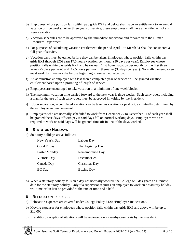- <span id="page-7-0"></span>b) Employees whose position falls within pay grids EX7 and below shall have an entitlement to an annual vacation of five weeks. After three years of service, these employees shall have an entitlement of six weeks vacation.
- c) Vacation schedules are to be approved by the immediate supervisor and forwarded to the Human Resources Department.
- d) For purposes of calculating vacation entitlement, the period April 1 to March 31 shall be considered a full year of service.
- e) Vacation days must be earned before they can be taken. Employees whose position falls within pay grids EX1 through EX6 earn 17.5 hours vacation per month (30 days per year). Employees whose position falls within pay grids EX7 and below earn 14.6 hours vacation per month for the first three years (25 days per year) and 17.5 hours per month thereafter (30 days per year). Normally, an employee must work for three months before beginning to use earned vacation.
- f) An administrative employee with less than a completed year of service will be granted vacation entitlement based upon a prorating of length of service.
- g) Employees are encouraged to take vacation in a minimum of one week blocks.
- h) The maximum vacation time carried forward to the next year is three weeks. Such carry-over, including a plan for the use of such carry-over, must be approved in writing by the President.
- i) Upon separation, accumulated vacation can be taken as vacation or paid out, as mutually determined by the employee and management.
- j) Employees who are normally scheduled to work from December 27 to December 31 of each year shall be granted these days off with pay if said days fall on normal working days. Employees who are required to work on said days will be granted time off in lieu of the days worked.

# **5 STATUTORY HOLIDAYS**

a) Statutory holidays are as follows:

| New Year's Day | Labour Day              |
|----------------|-------------------------|
| Good Friday    | <b>Thanksgiving Day</b> |
| Easter Monday  | Remembrance Day         |
| Victoria Day   | December 24             |
| Canada Day     | Christmas Day           |
| BC Day         | <b>Boxing Day</b>       |

b) When a statutory holiday falls on a day not normally worked, the College will designate an alternate date for the statutory holiday. Only if a supervisor requires an employee to work on a statutory holiday will time off in lieu be provided at the rate of time and a half.

## **6 RELOCATION EXPENSES**

- a) Relocation expenses are covered under College Policy 6120 "Employee Relocation".
- b) Moving expenses for employees whose position falls within pay grids EX6 and above will be up to \$10,000.
- c) In addition, exceptional situations will be reviewed on a case-by-case basis by the President.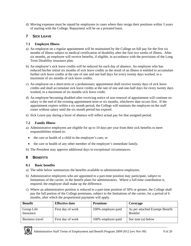<span id="page-8-0"></span>d) Moving expenses must be repaid by employees in cases where they resign their positions within 3 years of starting with the College. Repayment will be on a prorated basis.

## **7 SICK LEAVE**

#### **7.1 Employee Illness**

- a) An employee on a regular appointment will be maintained by the College on full pay for the first six months of illness subject to medical certification of disability after the first two weeks of illness. After six months, an employee will receive benefits, if eligible, in accordance with the provisions of the Long Term Disability insurance plan.
- b) An employee's sick leave credits will be reduced for each day of absence. An employee who has reduced his/her initial six months of sick leave credits as the result of an illness is entitled to accumulate further sick leave credits at the rate of one and one half days for every twenty days worked, to a maximum of six months of sick leave credits.
- c) An employee on a short-term or a probationary appointment shall receive twenty days of sick leave credits and shall accumulate sick leave credits at the rate of one and one-half days for every twenty days worked, to a maximum of six months sick leave credit.
- d) An employee becoming disabled after receiving notice of non renewal of appointment will continue on salary to the end of the existing appointment term or six months, whichever date occurs first. If the appointment expires within a six month period, the College will maintain the employee on the staff roster without salary until the six month period has expired.
- e) Sick Leave pay during a leave of absence will reflect actual pay for that assigned period.

### **7.2 Family Illness**

- a) Administrative employees are eligible for up to 10 days per year from their sick benefits to meet responsibilities related to:
	- the care or health of a child in the employee's care; or
	- the care or health of any other member of the employee's immediate family.
- b) The President may approve additional days in exceptional circumstances.

# **8 BENEFITS**

#### **8.1 Basic benefits**

- a) The table below summarizes the benefits available to administrative employees.
- b) Administrative employees who are appointed to a part-time position may participate, subject to limitations of the carrier, in the benefit plans for administrators. Where a full-time contribution is required, the employee shall make up the difference.
- c) Where an administrative position is reduced to a part-time position of 50% or greater, the College shall pay the full portion of the College premiums, subject to the limitations of the carrier, for a period of 6 months, after which the proportional payments will apply.

| <b>Benefit</b>          | <b>Effective date</b> | Premium            | Coverage                                         |
|-------------------------|-----------------------|--------------------|--------------------------------------------------|
| Group Life<br>Insurance | First day of work     | 100% employer-paid | As per attached Exempt Benefit<br><b>Booklet</b> |
| Business travel         | First day of work     | 100% employer-paid | See note (a) below                               |

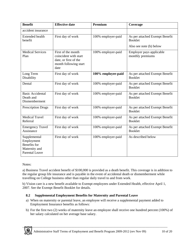<span id="page-9-0"></span>

| <b>Benefit</b>                                                                              | <b>Effective date</b>                                                                                 | Premium            | Coverage                                         |
|---------------------------------------------------------------------------------------------|-------------------------------------------------------------------------------------------------------|--------------------|--------------------------------------------------|
| accident insurance                                                                          |                                                                                                       |                    |                                                  |
| <b>Extended health</b><br>benefit                                                           | First day of work                                                                                     | 100% employer-paid | As per attached Exempt Benefit<br><b>Booklet</b> |
|                                                                                             |                                                                                                       |                    | Also see note (b) below                          |
| <b>Medical Services</b><br>Plan                                                             | First of the month<br>coincident with start<br>date, or first of the<br>month following start<br>date | 100% employer-paid | Employer pays applicable<br>monthly premiums     |
| Long Term<br>Disability                                                                     | First day of work                                                                                     | 100% employee-paid | As per attached Exempt Benefit<br><b>Booklet</b> |
| Dental                                                                                      | First day of work                                                                                     | 100% employer-paid | As per attached Exempt Benefit<br><b>Booklet</b> |
| <b>Basic Accidental</b><br>Death and<br>Dismemberment                                       | First day of work                                                                                     | 100% employer-paid | As per attached Exempt Benefit<br><b>Booklet</b> |
| Prescription Drugs                                                                          | First day of work                                                                                     | 100% employer-paid | As per attached Exempt Benefit<br><b>Booklet</b> |
| <b>Medical Travel</b><br>Referral                                                           | First day of work                                                                                     | 100% employer-paid | As per attached Exempt Benefit<br><b>Booklet</b> |
| <b>Emergency Travel</b><br>Assistance                                                       | First day of work                                                                                     | 100% employer-paid | As per attached Exempt Benefit<br><b>Booklet</b> |
| Supplemental<br>Employment<br><b>Benefits</b> for<br>Maternity and<br><b>Parental Leave</b> | First day of work                                                                                     | 100% employer-paid | As described below                               |

Notes:

a) Business Travel accident benefit of \$100,000 is provided as a death benefit. This coverage is in addition to the regular group life insurance and is payable in the event of accidental death or dismemberment while travelling on College business other than regular daily travel to and from work.

b) Vision care is a new benefit available to Exempt employees under Extended Health, effective April 1, 2007. See the Exempt Benefit Booklet for details.

## **8.2 Supplemental Employment Benefits for Maternity and Parental Leave**

- a) When on maternity or parental leave, an employee will receive a supplemental payment added to Employment Insurance benefits as follows:
- b) For the first two (2) weeks of maternity leave an employee shall receive one hundred percent (100%) of her salary calculated on her average base salary.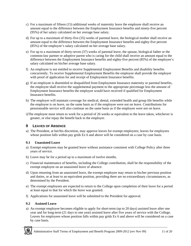- <span id="page-10-0"></span>c) For a maximum of fifteen (15) additional weeks of maternity leave the employee shall receive an amount equal to the difference between the Employment Insurance benefits and ninety-five percent (95%) of her salary calculated on her average base salary.
- d) For up to a maximum of thirty-five (35) weeks of parental leave, the biological mother shall receive an amount equal to the difference between the Employment Insurance benefits and eighty-five percent (85%) of the employee's salary calculated on her average base salary.
- e) For up to a maximum of thirty-seven (37) weeks of parental leave, the spouse, biological father or the common-law partner or adoptive parent who is caring for the child shall receive an amount equal to the difference between the Employment Insurance benefits and eighty-five percent (85%) of the employee's salary calculated on his/her average base salary.
- f) An employee is not entitled to receive Supplemental Employment Benefits and disability benefits concurrently. To receive Supplemental Employment Benefits the employee shall provide the employer with proof of application for and receipt of Employment Insurance benefits.
- g) If an employee is disentitled or disqualified from Employment Insurance maternity or parental benefits, the employee shall receive the supplemental payment to the appropriate percentage less the amount of Employment Insurance benefits the employee would have received if qualified for Employment Insurance benefits.
- h) The employer will maintain coverage for medical, dental, extended health and group life benefits while the employee is on leave, on the same basis as if the employee were not on leave. Contributions for pensionnable service will also continue on the same basis as if the employee were not on leave.
- i)The employee must return to work for a period of 26 weeks or equivalent to the leave taken, whichever is greater, or else repay the benefit back to the employer.

# **9 LEAVES OF ABSENCE**

a) The President, at her/his discretion, may approve leaves for exempt employees; leaves for employees whose position falls within pay grids Ex 6 and above will be considered on a case by case basis.

## **9.1 Unassisted Leave**

- a) Exempt employees may be granted leave without assistance consistent with College Policy after three years of service.
- b) Leave may be for a period up to a maximum of twelve months.
- c) Financial maintenance of benefits, including the College contribution, shall be the responsibility of the exempt employee on an unassisted leave of absence.
- d) Upon returning from an unassisted leave, the exempt employee may return to his/her previous position and duties, or at least to an equivalent position, providing there are no extraordinary circumstances, as determined by the President.
- e) The exempt employees are expected to return to the College upon completion of their leave for a period at least equal to that for which the leave was granted.
- f) Applications for unassisted leave will be submitted to the President for approval.

## **9.2 Assisted Leave**

a) An exempt employee becomes eligible to apply for short-term (up to 20 days) assisted leave after one year and for long-term (21 days to one year) assisted leave after five years of service with the College. Leaves for employees whose position falls within pay grids Ex 6 and above will be considered on a case by case basis.

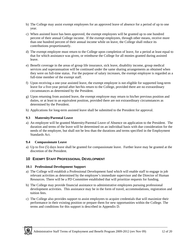- <span id="page-11-0"></span>b) The College may assist exempt employees for an approved leave of absence for a period of up to one year.
- c) When assisted leave has been approved, the exempt employees will be granted up to one hundred percent of their annual College income. If the exempt employees, through other means, receive more than one hundred percent of their annual income while on leave, the College shall reduce its contributions proportionately.
- d) The exempt employee must return to the College upon completion of leave, for a period at least equal to that for which assistance was given, or reimburse the College for all monies granted during assisted leave.
- e) Benefit coverage in the areas of group life insurance, sick leave, disability income, group medical services and superannuation will be continued under the same sharing arrangements as obtained when they were on full-time status. For the purpose of salary increases, the exempt employee is regarded as a full-time member of the exempt staff.
- f) Upon receiving a one-year assisted leave, the exempt employee is not eligible for supported long-term leave for a five-year period after her/his return to the College, provided there are no extraordinary circumstances as determined by the President.
- g) Upon returning from assisted leave, the exempt employee may return to his/her previous position and duties, or at least to an equivalent position, provided there are not extraordinary circumstances as determined by the President.
- h) Applications for long-term assisted leave shall be submitted to the President for approval.

#### **9.3 Maternity/Parental Leave**

a) An employee will be granted Maternity/Parental Leave of Absence on application to the President. The duration and terms of the leave will be determined on an individual basis with due consideration for the needs of the employee, but shall not be less than the durations and terms specified in the Employment Standards Act.

#### **9.4 Compassionate Leave**

a) Up to five (5) days leave shall be granted for compassionate leave. Further leave may be granted at the discretion of the President.

## **10 EXEMPT STAFF PROFESSIONAL DEVELOPMENT**

#### **10.1 Professional Development Support**

- a) The College will establish a Professional Development fund which will enable staff to engage in job relevant activities as determined by the employee's immediate supervisor and the Director of Human Resources. There will be a PD Committee established that will prioritize requests for funding.
- b) The College may provide financial assistance to administrative employees pursuing professional development activities. This assistance may be in the form of travel, accommodations, registration and tuition fees.
- c) The College also provides support to assist employees to acquire credentials that will maximize their performance in their existing position or prepare them for new opportunities within the College. The terms and conditions for this support is described in Appendix D.

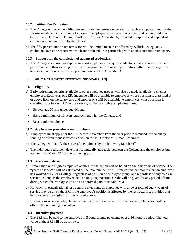#### <span id="page-12-0"></span>**10.2 Tuition Fee Remission**

- a) The College will provide a fifty percent tuition fee remission per year for each exempt staff and for the spouse and dependent children of an exempt employee whose position is classified is classified at or below Step EX 7 on the Exempt Staff pay grid, per Appendix A, provided the spouse and dependent children are not employed by the College.
- b) The fifty percent tuition fee remission will be limited to courses offered by Selkirk College only, excluding courses or programs which are brokered or in partnership with another institution or agency.

#### **10.3 Support for the completion of advanced credentials**

a) The College also provides support to assist employees to acquire credentials that will maximize their performance in their existing position or prepare them for new opportunities within the College. The terms and conditions for this support are described in Appendix D.

## **11 EARLY RETIREMENT INCENTIVE PROGRAM (ERI)**

#### **11.1 Eligibility**

- a) Early retirement benefits available to other employee groups will also be made available to exempt employees. Each year, one ERI incentive will be available to employees whose position is classified at or above EX6 on the salary grid and another one will be available to employees whose position is classified at or below EX7 on the salary grid. To be eligible, employees must:
- Be over age 55 and under age 64; and
- Have a minimum of 10 years employment with the College; and
- Be a regular employee.

#### **11.2 Application procedures and timelines**

- a) Employees must apply for the ERI before November  $1<sup>st</sup>$  of the year prior to intended retirement by sending a written request for consideration to the Director of Human Resources.
- b) The College will notify the successful employee by the following March  $31<sup>st</sup>$ .
- c) The individual retirement date must be mutually agreeable between the College and the employee but no later than March  $31<sup>st</sup>$  of the following year.

#### **11.3 Selection criteria**

- a) If more than one eligible employee applies, the selection will be based on age plus years of service. The "years of service" will be calculated as the total number of full-time equivalent months that an employee has worked at Selkirk College, regardless of position or employee group, and regardless of any break in service, as long as the employee held an on-going position. Credit will be given for any period of time during which the employee was on an approved paid or unpaid leave.
- b) However, in organizational restructuring situations, an employee with a lower total of age + years of service may be given the ERI if the employee's position is affected by the restructuring, provided that he/she meets the eligibility criteria listed above.
- c) In situations where an eligible employee qualifies for a partial ERI, the next eligible person will be offered the remaining percentage.

#### **11.4 Incentive payment**

a) The ERI will be paid to the employee in 3 equal annual payments over a 36 months period. The total value of the ERI will be as follows:

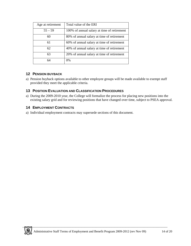<span id="page-13-0"></span>

| Age at retirement | Total value of the ERI                      |
|-------------------|---------------------------------------------|
| $55 - 59$         | 100% of annual salary at time of retirement |
| 60                | 80% of annual salary at time of retirement  |
| 61                | 60% of annual salary at time of retirement  |
| 62                | 40% of annual salary at time of retirement  |
| 63                | 20% of annual salary at time of retirement  |
| 64                | $0\%$                                       |

## **12 PENSION BUYBACK**

a) Pension buyback options available to other employee groups will be made available to exempt staff provided they meet the applicable criteria.

## **13 POSITION EVALUATION AND CLASSIFICATION PROCEDURES**

a) During the 2009-2010 year, the College will formalize the process for placing new positions into the existing salary grid and for reviewing positions that have changed over time, subject to PSEA approval.

## **14 EMPLOYMENT CONTRACTS**

a) Individual employment contracts may supersede sections of this document.

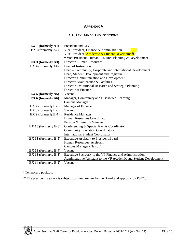# **APPENDIX A**

## **SALARY BANDS AND POSITIONS**

<span id="page-14-0"></span>

| <b>EX 1 (formerly A1)</b>  | President and CEO                                                   |  |  |
|----------------------------|---------------------------------------------------------------------|--|--|
| <b>EX 2(formerly A2)</b>   | Vice President, Finance & Administration                            |  |  |
|                            | Vice President, Academic & Student Development                      |  |  |
|                            | * Vice President, Human Resource Planning & Development             |  |  |
| $EX 3$ (formerly A3)       | Director, Human Resources                                           |  |  |
| EX 4 (formerly A4)         | Dean of Instruction                                                 |  |  |
|                            | Dean – Community, Corporate and International Development           |  |  |
|                            | Dean, Student Development and Registrar                             |  |  |
|                            | Director, Communication and Development                             |  |  |
|                            | Director, Maintenance & Facilities                                  |  |  |
|                            | Director, Institutional Research and Strategic Planning             |  |  |
|                            | Director of Finance                                                 |  |  |
| $EX 5$ (formerly A5)       | Vacant                                                              |  |  |
| EX $6$ (formerly A6)       | Manager, Community and Distributed Learning                         |  |  |
|                            | <b>Campus Manager</b>                                               |  |  |
| $EX 7$ (formerly $E-9$ )   | Manager of Finance                                                  |  |  |
| <b>EX 8 (formerly E-8)</b> | Vacant                                                              |  |  |
| $EX 9$ (formerly $E-7$ )   | <b>Residence Manager</b>                                            |  |  |
|                            | Human Resources Coordinator                                         |  |  |
|                            | Pension & Benefits Manager                                          |  |  |
| EX 10 (formerly E-6)       | Conferencing & Special Events Coordinator                           |  |  |
|                            | <b>Community Education Coordinators</b>                             |  |  |
|                            | <b>International Student Coordinator</b>                            |  |  |
| $EX 11$ (formerly $E-5$ )  | <b>Executive Assistant to President/Board</b>                       |  |  |
|                            | Human Resources Assistant                                           |  |  |
|                            | Campus Manager (Nelson)                                             |  |  |
| $EX 12$ (formerly $E-4$ )  | Vacant                                                              |  |  |
| EX 13 (formerly $E-3$ )    | Executive Secretary to the VP Finance and Administration            |  |  |
|                            | Administrative Assistant to the VP Academic and Student Development |  |  |
| $EX 14$ (formerly $E-2$ )  | Vacant                                                              |  |  |

\* Temporary position.

\*\* The president's salary is subject to annual review by the Board and approval by PSEC.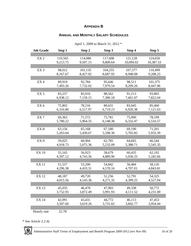# **APPENDIX B**

## **ANNUAL AND MONTHLY SALARY SCHEDULES**

<span id="page-15-0"></span>

| <b>Job Grade</b> | Step 1   | Step 2   | Step 3   | Step 4    | Step 5    |
|------------------|----------|----------|----------|-----------|-----------|
|                  |          |          |          |           |           |
| EX <sub>2</sub>  | 110,565  | 114,086  | 117,608  | 121,128   | 124,650   |
|                  | 9,213.75 | 9,507.15 | 9,800.64 | 10,094.02 | 10,387.53 |
|                  |          |          |          |           |           |
| EX <sub>3</sub>  | 98,012   | 101,135  | 104,255  | 107,377   | 110,499   |
|                  | 8,167.67 | 8,427.92 | 8,687.92 | 8,948.08  | 9,208.25  |
|                  |          |          |          |           |           |
| EX4              | 89,919   | 92,784   | 95,646   | 98,511    | 101,375   |
|                  | 7,493.26 | 7,732.02 | 7,970.54 | 8,209.26  | 8,447.96  |
|                  |          |          |          |           |           |
| EX <sub>5</sub>  | 83,257   | 85,910   | 88,562   | 91,213    | 93,865    |
|                  |          |          |          |           |           |
|                  | 6,938.12 | 7,159.15 | 7,380.18 | 7,601.07  | 7,822.04  |
|                  |          |          |          |           |           |
| EX <sub>6</sub>  | 75,802   | 78,216   | 80,631   | 83,045    | 85,460    |
|                  | 6,316.80 | 6,517.97 | 6,719.23 | 6,920.38  | 7,121.63  |
|                  |          |          |          |           |           |
| EX <sub>7</sub>  | 69,363   | 71,572   | 73,781   | 75,990    | 78,199    |
|                  | 5,780.22 | 5,964.35 | 6,148.38 | 6,332.47  | 6,516.57  |
|                  |          |          |          |           |           |
| $EX-8$           | 63,156   | 65,168   | 67,180   | 69,190    | 71,201    |
|                  | 5,263.04 | 5,430.67 | 5,598.30 | 5,765.85  | 5,933.39  |
|                  |          |          |          |           |           |
| $EX-9$           | 59,025   | 60,904   | 62,785   | 64,665    | 66,544    |
|                  | 4,918.73 | 5,075.36 | 5,232.09 | 5,388.71  | 5,545.35  |
|                  |          |          |          |           |           |
| <b>EX 10</b>     | 55,165   | 56,923   | 58,679   | 60,435    | 62,192    |
|                  | 4,597.12 | 4,743.56 | 4,889.90 | 5,036.25  | 5,182.66  |
|                  |          |          |          |           |           |
| <b>EX11</b>      | 51,557   | 53,200   | 54,842   | 56,484    | 58,126    |
|                  | 4,296.38 | 4,433.31 | 4,570.16 | 4,707.01  | 4,843.81  |
|                  |          |          |          |           |           |
| <b>EX 12</b>     | 48,187   | 49,720   | 51,256   | 52,791    | 54,325    |
|                  | 4,015.56 | 4,143.36 | 4,271.35 | 4,399.25  |           |
|                  |          |          |          |           | 4,527.04  |
|                  |          |          |          |           |           |
| <b>EX 13</b>     | 45,035   | 46,470   | 47,903   | 49,338    | 50,772    |
|                  | 3,752.93 | 3,872.49 | 3,991.93 | 4,111.52  | 4,231.00  |
|                  |          |          |          |           |           |
| <b>EX 14</b>     | 42,091   | 43,431   | 44,772   | 46,113    | 47,453    |
|                  | 3,507.60 | 3,619.26 | 3,731.02 | 3,842.77  | 3,954.44  |
|                  |          |          |          |           |           |
| Hourly rate      | 22.78    |          |          |           |           |

April 1, 2009 to March 31, 2012 \*

\* See Article 2.2 d)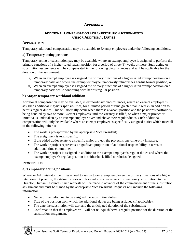## **APPENDIX C**

## **ADDITIONAL COMPENSATION FOR SUBSTITUTION ASSIGNMENTS AND/OR ADDITIONAL DUTIES**

#### <span id="page-16-0"></span>**APPLICATION**

Temporary additional compensation may be available to Exempt employees under the following conditions.

#### **a) Temporary acting positions**

Temporary acting or substitution pay may be available where an exempt employee is assigned to perform the primary functions of a higher-rated vacant position for a period of three (3) weeks or more. Such acting or substitution assignments will be compensated in the following circumstances and will be applicable for the duration of the assignment:

- i) When an exempt employee is assigned the primary functions of a higher rated exempt position on a temporary basis and where the exempt employee temporarily relinquishes her/his former position; or
- ii) When an exempt employee is assigned the primary functions of a higher rated exempt position on a temporary basis while continuing with her/his regular position.

#### **b) Major temporary workload addition**

Additional compensation may be available, in extraordinary circumstances, where an exempt employee is assigned additional **major responsibilities**, for a limited period of time greater than 3 weeks, in addition to her/his regular duties. This will normally occur when there is a vacant position and the position's portfolio is being handled by two or more Exempt employees until the vacancy is filled, or when a major project or initiative is undertaken by an Exempt employee over and above their regular duties. Such additional compensation will only be available where an exempt employee is specifically assigned duties which meet all of the following criteria:

- The work is pre-approved by the appropriate Vice President;
- The assignment is term specific;
- If the added duties relate to a specific major project, the project is one-time-only in nature;
- The work or project represents a significant proportion of additional responsibility in terms of additional time commitment;
- The work or project is assigned in addition to the exempt employee's regular duties and where the exempt employee's regular position is neither back-filled nor duties delegated.

#### **PROCEDURES**

#### **a) Temporary acting positions**

Where an Administrator identifies a need to assign to an exempt employee the primary functions of a higher rated exempt position, the Administrator will forward a written request for temporary substitution, to the Director, Human Resources. Such requests will be made in advance of the commencement of the substitution assignment and must be signed by the appropriate Vice President. Requests will include the following information:

- Name of the individual to be assigned the substitution duties;
- Title of the position from which the additional duties are being assigned (if applicable);
- The date the substitution will start and the anticipated duration of the substitution;
- Confirmation that the employee will/will not relinquish her/his regular position for the duration of the substitution assignment.

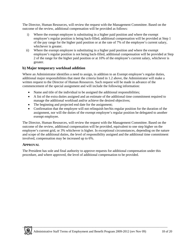The Director, Human Resources, will review the request with the Management Committee. Based on the outcome of the review, additional compensation will be provided as follows:

- i) Where the exempt employee is substituting in a higher paid position and where the exempt employee's regular position is being back-filled, additional compensation will be provided at Step 1 of the pay range for the higher paid position or at the rate of 7% of the employee's current salary, whichever is greater.
- ii) Where the exempt employee is substituting in a higher paid position and where the exempt employee's regular position is not being back-filled, additional compensation will be provided at Step 2 of the range for the higher paid position or at 10% of the employee's current salary, whichever is greater.

#### **b) Major temporary workload addition**

Where an Administrator identifies a need to assign, in addition to an Exempt employee's regular duties, additional major responsibilities that meet the criteria listed in 1.2 above, the Administrator will make a written request to the Director of Human Resources. Such request will be made in advance of the commencement of the special assignment and will include the following information:

- Name and title of the individual to be assigned the additional responsibilities;
- A list of the extra duties assigned and an estimate of the additional time commitment required to manage the additional workload and/or achieve the desired objectives;
- The beginning and projected end date for the assignment;
- Confirmation that the employee will not relinquish her/his regular position for the duration of the assignment, nor will the duties of the exempt employee's regular position be delegated to another exempt employee.

The Director, Human Resources, will review the request with the Management Committee. Based on the outcome of the review, additional compensation will be provided, equivalent to one step higher on the employee's current grid, or 3% whichever is higher. In exceptional circumstances, depending on the nature and scope of the additional duties, the level of responsibility assigned and the additional time commitment involved, compensation may be increased up to 6%.

#### **APPROVAL**

The President has sole and final authority to approve requests for additional compensation under this procedure, and where approved, the level of additional compensation to be provided.

\_\_\_\_\_\_\_\_\_\_\_\_\_\_\_\_\_\_\_\_\_\_\_\_\_\_\_\_\_\_\_\_\_\_\_\_\_\_\_\_\_\_\_\_\_\_\_\_\_\_\_\_\_\_\_\_\_\_\_\_\_\_\_\_\_\_\_\_\_\_\_\_\_\_\_\_\_\_\_\_\_\_\_\_\_\_\_\_\_\_\_\_\_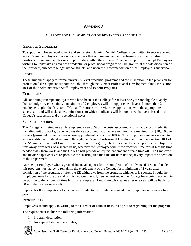# **APPENDIX D**

## **SUPPORT FOR THE COMPLETION OF ADVANCED CREDENTIALS**

## <span id="page-18-0"></span>**GENERAL GUIDELINES**

To support employee development and succession planning, Selkirk College is committed to encourage and assist Exempt employees to acquire credentials that will maximize their performance in their existing positions or prepare them for new opportunities within the College. Financial support for Exempt Employees wishing to undertake an advanced credential or professional program will be granted at the sole discretion of the President, subject to budgetary constraints, and upon the recommendation of the Employee's supervisor.

### **SCOPE**

These guidelines apply to formal university-level credential programs and are in addition to the provision for professional development support available through the Exempt Professional Development fund (see section 10.1 of the "Administrative Staff Employment and Benefit Program) .

### **ELIGIBILITY**

All continuing Exempt employees who have been at the College for at least one year are eligible to apply. Due to budgetary constraints, a maximum of 2 employees will be supported each year. If more than 2 employees apply, the Director of Human Resources will review the applications with the appropriate supervisors and will make a determination as to which applicants will be supported that year, based on the College's succession and/or operational needs.

#### **SUPPORT PROVIDED**

The College will reimburse an Exempt employee 50% of the costs associated with an advanced credential, including tuition, books, travel and residence accommodation where required, to a maximum of \$10,000 over 2 years (pro-rated for employees whose appointment is less than 100% FTE). Employees are encouraged to access additional funds, if required, through the Exempt Professional Development fund (see section 10.1 of the "Administrative Staff Employment and Benefit Program) The College will also support the Employee for time away from work on a shared basis, whereby the Employee will utilize vacation time for 50% of the time needed away from work, and the College will provide an equivalent amount of paid time off. The Employee and his/her Supervisor are responsible for ensuring that the time off does not negatively impact the operations of the Department.

An Exempt Employee who is granted financial support for the completion of an advanced credential under this program must agree to remain in the employment of the College for a minimum of 2 years after completion of the program, or after the EE withdraws from the program, whichever is sooner.. Should the Employee leave before the end of this two-year period, he/she must repay the College for monies received, in proportion to the amount of time left (for example, an Employee who leaves after one year will be liable for 50% of the monies received).

Support for the completion of an advanced credential will only be granted to an Employee once every five years.

#### **PROCEDURES**

Employees should apply in writing to the Director of Human Resources prior to registering for the program.

The request must include the following information:

- 1. Program description;
- 2. Anticipated start and end dates;